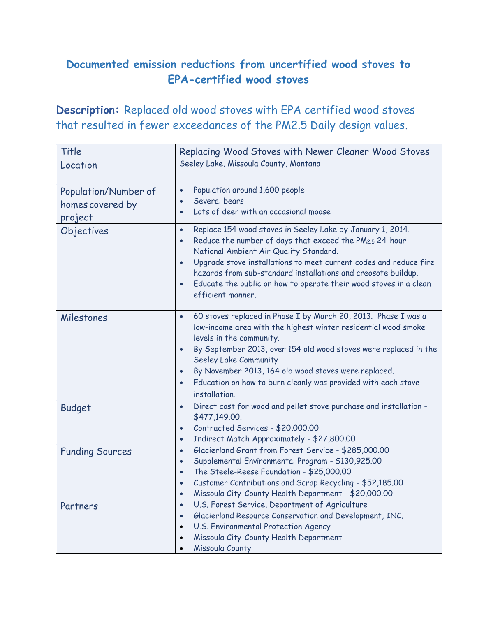## **Documented emission reductions from uncertified wood stoves to EPA-certified wood stoves**

**Description:** Replaced old wood stoves with EPA certified wood stoves that resulted in fewer exceedances of the PM2.5 Daily design values.

| Title                  | Replacing Wood Stoves with Newer Cleaner Wood Stoves                                                                                                                                                                                                                                                                                                                                                                                                            |
|------------------------|-----------------------------------------------------------------------------------------------------------------------------------------------------------------------------------------------------------------------------------------------------------------------------------------------------------------------------------------------------------------------------------------------------------------------------------------------------------------|
| Location               | Seeley Lake, Missoula County, Montana                                                                                                                                                                                                                                                                                                                                                                                                                           |
|                        |                                                                                                                                                                                                                                                                                                                                                                                                                                                                 |
| Population/Number of   | Population around 1,600 people<br>$\bullet$                                                                                                                                                                                                                                                                                                                                                                                                                     |
| homes covered by       | Several bears<br>$\bullet$                                                                                                                                                                                                                                                                                                                                                                                                                                      |
| project                | Lots of deer with an occasional moose<br>$\bullet$                                                                                                                                                                                                                                                                                                                                                                                                              |
| Objectives             | Replace 154 wood stoves in Seeley Lake by January 1, 2014.<br>$\bullet$<br>Reduce the number of days that exceed the PM <sub>2.5</sub> 24-hour<br>$\bullet$<br>National Ambient Air Quality Standard.<br>Upgrade stove installations to meet current codes and reduce fire<br>$\bullet$<br>hazards from sub-standard installations and creosote buildup.<br>Educate the public on how to operate their wood stoves in a clean<br>$\bullet$<br>efficient manner. |
| Milestones             | 60 stoves replaced in Phase I by March 20, 2013. Phase I was a<br>$\bullet$<br>low-income area with the highest winter residential wood smoke<br>levels in the community.<br>By September 2013, over 154 old wood stoves were replaced in the<br>$\bullet$<br>Seeley Lake Community<br>By November 2013, 164 old wood stoves were replaced.<br>$\bullet$<br>Education on how to burn cleanly was provided with each stove<br>$\bullet$<br>installation.         |
| <b>Budget</b>          | Direct cost for wood and pellet stove purchase and installation -<br>$\bullet$                                                                                                                                                                                                                                                                                                                                                                                  |
|                        | \$477,149.00.                                                                                                                                                                                                                                                                                                                                                                                                                                                   |
|                        | Contracted Services - \$20,000.00<br>$\bullet$                                                                                                                                                                                                                                                                                                                                                                                                                  |
|                        | Indirect Match Approximately - \$27,800.00<br>$\bullet$                                                                                                                                                                                                                                                                                                                                                                                                         |
| <b>Funding Sources</b> | Glacierland Grant from Forest Service - \$285,000.00<br>$\bullet$<br>Supplemental Environmental Program - \$130,925.00<br>$\bullet$                                                                                                                                                                                                                                                                                                                             |
|                        | The Steele-Reese Foundation - \$25,000.00<br>$\bullet$                                                                                                                                                                                                                                                                                                                                                                                                          |
|                        | Customer Contributions and Scrap Recycling - \$52,185.00<br>$\bullet$                                                                                                                                                                                                                                                                                                                                                                                           |
|                        | Missoula City-County Health Department - \$20,000.00                                                                                                                                                                                                                                                                                                                                                                                                            |
| Partners               | U.S. Forest Service, Department of Agriculture<br>$\bullet$                                                                                                                                                                                                                                                                                                                                                                                                     |
|                        | Glacierland Resource Conservation and Development, INC.<br>$\bullet$                                                                                                                                                                                                                                                                                                                                                                                            |
|                        | U.S. Environmental Protection Agency                                                                                                                                                                                                                                                                                                                                                                                                                            |
|                        | Missoula City-County Health Department<br>$\bullet$                                                                                                                                                                                                                                                                                                                                                                                                             |
|                        | Missoula County                                                                                                                                                                                                                                                                                                                                                                                                                                                 |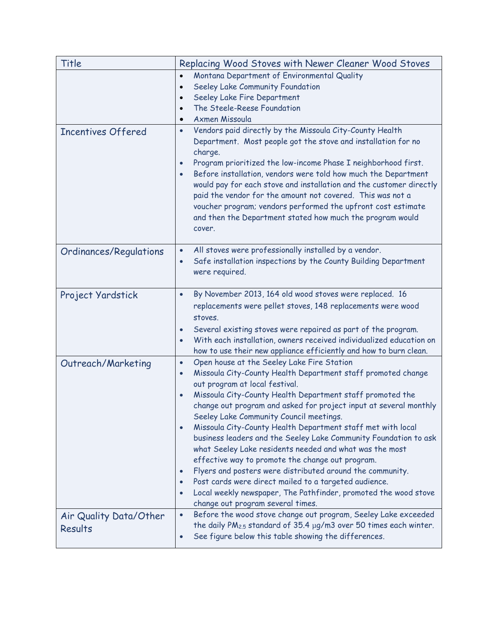| Title                                        | Replacing Wood Stoves with Newer Cleaner Wood Stoves                                                                                                                                                                                                                                                                                                                                                                                                                                                                                                                                                                                                                                                                                                                                                                                                                                                                                                      |
|----------------------------------------------|-----------------------------------------------------------------------------------------------------------------------------------------------------------------------------------------------------------------------------------------------------------------------------------------------------------------------------------------------------------------------------------------------------------------------------------------------------------------------------------------------------------------------------------------------------------------------------------------------------------------------------------------------------------------------------------------------------------------------------------------------------------------------------------------------------------------------------------------------------------------------------------------------------------------------------------------------------------|
|                                              | Montana Department of Environmental Quality<br>$\bullet$<br>Seeley Lake Community Foundation<br>$\bullet$<br>Seeley Lake Fire Department<br>$\bullet$<br>The Steele-Reese Foundation<br>$\bullet$<br>Axmen Missoula<br>$\bullet$                                                                                                                                                                                                                                                                                                                                                                                                                                                                                                                                                                                                                                                                                                                          |
| <b>Incentives Offered</b>                    | Vendors paid directly by the Missoula City-County Health<br>$\bullet$<br>Department. Most people got the stove and installation for no<br>charge.<br>Program prioritized the low-income Phase I neighborhood first.<br>$\bullet$<br>Before installation, vendors were told how much the Department<br>$\bullet$<br>would pay for each stove and installation and the customer directly<br>paid the vendor for the amount not covered. This was not a<br>voucher program; vendors performed the upfront cost estimate<br>and then the Department stated how much the program would<br>cover.                                                                                                                                                                                                                                                                                                                                                               |
| Ordinances/Regulations                       | All stoves were professionally installed by a vendor.<br>$\bullet$<br>Safe installation inspections by the County Building Department<br>$\bullet$<br>were required.                                                                                                                                                                                                                                                                                                                                                                                                                                                                                                                                                                                                                                                                                                                                                                                      |
| Project Yardstick                            | By November 2013, 164 old wood stoves were replaced. 16<br>$\bullet$<br>replacements were pellet stoves, 148 replacements were wood<br>stoves.<br>Several existing stoves were repaired as part of the program.<br>$\bullet$<br>With each installation, owners received individualized education on<br>$\bullet$<br>how to use their new appliance efficiently and how to burn clean.                                                                                                                                                                                                                                                                                                                                                                                                                                                                                                                                                                     |
| Outreach/Marketing<br>Air Quality Data/Other | Open house at the Seeley Lake Fire Station<br>$\bullet$<br>Missoula City-County Health Department staff promoted change<br>$\bullet$<br>out program at local festival.<br>Missoula City-County Health Department staff promoted the<br>change out program and asked for project input at several monthly<br>Seeley Lake Community Council meetings.<br>Missoula City-County Health Department staff met with local<br>$\bullet$<br>business leaders and the Seeley Lake Community Foundation to ask<br>what Seeley Lake residents needed and what was the most<br>effective way to promote the change out program.<br>Flyers and posters were distributed around the community.<br>$\bullet$<br>Post cards were direct mailed to a targeted audience.<br>Local weekly newspaper, The Pathfinder, promoted the wood stove<br>$\bullet$<br>change out program several times.<br>Before the wood stove change out program, Seeley Lake exceeded<br>$\bullet$ |
| Results                                      | the daily $PM_{2.5}$ standard of 35.4 $\mu$ g/m3 over 50 times each winter.<br>See figure below this table showing the differences.<br>$\bullet$                                                                                                                                                                                                                                                                                                                                                                                                                                                                                                                                                                                                                                                                                                                                                                                                          |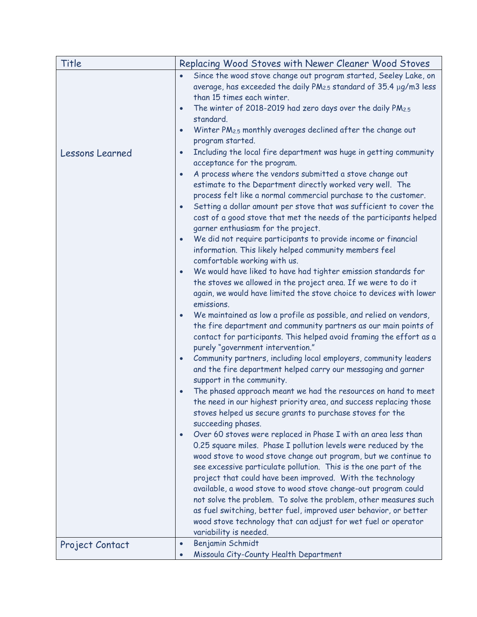| Title                  | Replacing Wood Stoves with Newer Cleaner Wood Stoves                                                                                                                                                                                                                                                                                                                                                                                                                                                                                                                                                                                                                                                                                                                                                                                                                                                                                                                                                                                                                                                                                                                                                                                                                                                                                                                                                                                                                                                                                                                                                                                                                                                                                                                                                                                                                                                                                                                                                                                                                                                                                                                                             |
|------------------------|--------------------------------------------------------------------------------------------------------------------------------------------------------------------------------------------------------------------------------------------------------------------------------------------------------------------------------------------------------------------------------------------------------------------------------------------------------------------------------------------------------------------------------------------------------------------------------------------------------------------------------------------------------------------------------------------------------------------------------------------------------------------------------------------------------------------------------------------------------------------------------------------------------------------------------------------------------------------------------------------------------------------------------------------------------------------------------------------------------------------------------------------------------------------------------------------------------------------------------------------------------------------------------------------------------------------------------------------------------------------------------------------------------------------------------------------------------------------------------------------------------------------------------------------------------------------------------------------------------------------------------------------------------------------------------------------------------------------------------------------------------------------------------------------------------------------------------------------------------------------------------------------------------------------------------------------------------------------------------------------------------------------------------------------------------------------------------------------------------------------------------------------------------------------------------------------------|
|                        | Since the wood stove change out program started, Seeley Lake, on<br>$\bullet$<br>average, has exceeded the daily PM <sub>2.5</sub> standard of 35.4 µg/m3 less<br>than 15 times each winter.<br>The winter of 2018-2019 had zero days over the daily PM2.5<br>$\bullet$<br>standard.<br>Winter PM <sub>2.5</sub> monthly averages declined after the change out<br>$\bullet$<br>program started.                                                                                                                                                                                                                                                                                                                                                                                                                                                                                                                                                                                                                                                                                                                                                                                                                                                                                                                                                                                                                                                                                                                                                                                                                                                                                                                                                                                                                                                                                                                                                                                                                                                                                                                                                                                                 |
| <b>Lessons Learned</b> | Including the local fire department was huge in getting community<br>$\bullet$<br>acceptance for the program.<br>A process where the vendors submitted a stove change out<br>$\bullet$<br>estimate to the Department directly worked very well. The<br>process felt like a normal commercial purchase to the customer.<br>Setting a dollar amount per stove that was sufficient to cover the<br>$\bullet$<br>cost of a good stove that met the needs of the participants helped<br>garner enthusiasm for the project.<br>We did not require participants to provide income or financial<br>$\bullet$<br>information. This likely helped community members feel<br>comfortable working with us.<br>We would have liked to have had tighter emission standards for<br>$\bullet$<br>the stoves we allowed in the project area. If we were to do it<br>again, we would have limited the stove choice to devices with lower<br>emissions.<br>We maintained as low a profile as possible, and relied on vendors,<br>$\bullet$<br>the fire department and community partners as our main points of<br>contact for participants. This helped avoid framing the effort as a<br>purely "government intervention."<br>Community partners, including local employers, community leaders<br>$\bullet$<br>and the fire department helped carry our messaging and garner<br>support in the community.<br>The phased approach meant we had the resources on hand to meet<br>$\bullet$<br>the need in our highest priority area, and success replacing those<br>stoves helped us secure grants to purchase stoves for the<br>succeeding phases.<br>Over 60 stoves were replaced in Phase I with an area less than<br>$\bullet$<br>0.25 square miles. Phase I pollution levels were reduced by the<br>wood stove to wood stove change out program, but we continue to<br>see excessive particulate pollution. This is the one part of the<br>project that could have been improved. With the technology<br>available, a wood stove to wood stove change-out program could<br>not solve the problem. To solve the problem, other measures such<br>as fuel switching, better fuel, improved user behavior, or better |
| Project Contact        | wood stove technology that can adjust for wet fuel or operator<br>variability is needed.<br>Benjamin Schmidt<br>$\bullet$<br>Missoula City-County Health Department<br>$\bullet$                                                                                                                                                                                                                                                                                                                                                                                                                                                                                                                                                                                                                                                                                                                                                                                                                                                                                                                                                                                                                                                                                                                                                                                                                                                                                                                                                                                                                                                                                                                                                                                                                                                                                                                                                                                                                                                                                                                                                                                                                 |